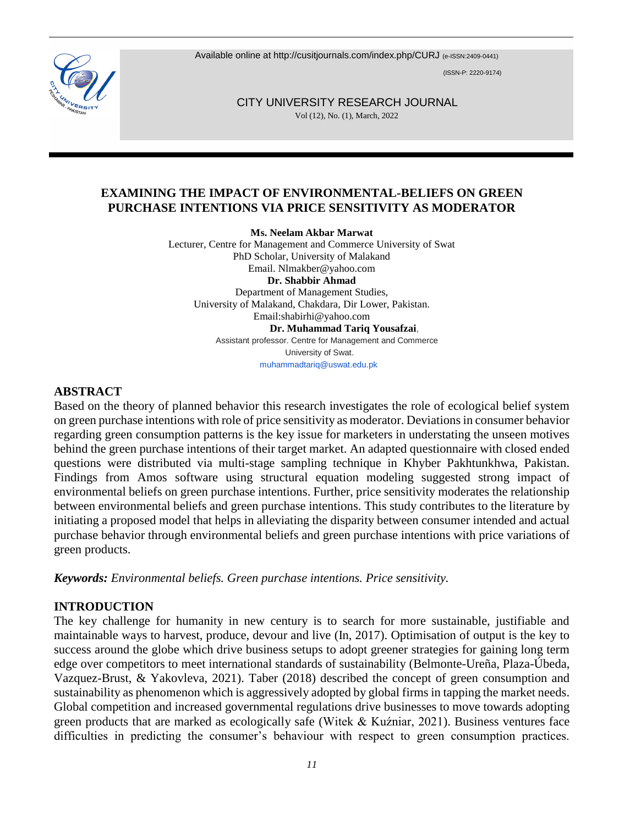Available online at http://cusitiournals.com/index.php/CURJ (e-ISSN:2409-0441)

(ISSN-P: 2220-9174)



 CITY UNIVERSITY RESEARCH JOURNAL Vol (12), No. (1), March, 2022

## **EXAMINING THE IMPACT OF ENVIRONMENTAL-BELIEFS ON GREEN PURCHASE INTENTIONS VIA PRICE SENSITIVITY AS MODERATOR**

**Ms. Neelam Akbar Marwat**

Lecturer, Centre for Management and Commerce University of Swat PhD Scholar, University of Malakand Email. [Nlmakber@yahoo.com](mailto:Nlmakber@yahoo.com) **Dr. Shabbir Ahmad** Department of Management Studies, University of Malakand, Chakdara, Dir Lower, Pakistan. Email:shabirhi@yahoo.com  **Dr. Muhammad Tariq Yousafzai**, Assistant professor. Centre for Management and Commerce University of Swat.

[muhammadtariq@uswat.edu.pk](mailto:muhammadtariq@uswat.edu.pk)

#### **ABSTRACT**

Based on the theory of planned behavior this research investigates the role of ecological belief system on green purchase intentions with role of price sensitivity as moderator. Deviations in consumer behavior regarding green consumption patterns is the key issue for marketers in understating the unseen motives behind the green purchase intentions of their target market. An adapted questionnaire with closed ended questions were distributed via multi-stage sampling technique in Khyber Pakhtunkhwa, Pakistan. Findings from Amos software using structural equation modeling suggested strong impact of environmental beliefs on green purchase intentions. Further, price sensitivity moderates the relationship between environmental beliefs and green purchase intentions. This study contributes to the literature by initiating a proposed model that helps in alleviating the disparity between consumer intended and actual purchase behavior through environmental beliefs and green purchase intentions with price variations of green products.

*Keywords: Environmental beliefs. Green purchase intentions. Price sensitivity.*

## **INTRODUCTION**

The key challenge for humanity in new century is to search for more sustainable, justifiable and maintainable ways to harvest, produce, devour and live [\(In, 2017\)](#page-11-0). Optimisation of output is the key to success around the globe which drive business setups to adopt greener strategies for gaining long term edge over competitors to meet international standards of sustainability [\(Belmonte-Ureña, Plaza-Úbeda,](#page-10-0)  [Vazquez-Brust, & Yakovleva, 2021\)](#page-10-0). [Taber \(2018\)](#page-12-0) described the concept of green consumption and sustainability as phenomenon which is aggressively adopted by global firms in tapping the market needs. Global competition and increased governmental regulations drive businesses to move towards adopting green products that are marked as ecologically safe [\(Witek & Kuźniar, 2021\)](#page-13-0). Business ventures face difficulties in predicting the consumer's behaviour with respect to green consumption practices.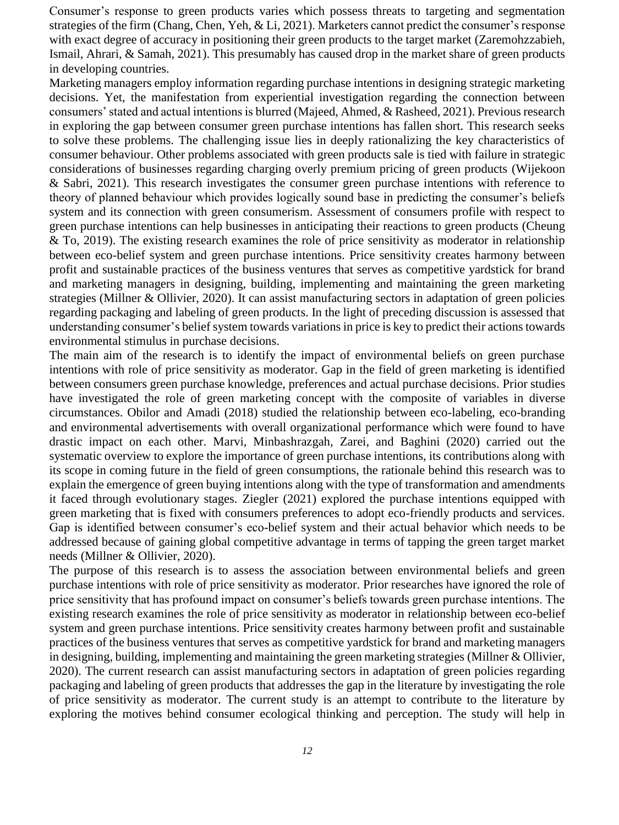Consumer's response to green products varies which possess threats to targeting and segmentation strategies of the firm [\(Chang, Chen, Yeh, & Li, 2021\)](#page-10-1). Marketers cannot predict the consumer's response with exact degree of accuracy in positioning their green products to the target market [\(Zaremohzzabieh,](#page-13-1)  [Ismail, Ahrari, & Samah, 2021\)](#page-13-1). This presumably has caused drop in the market share of green products in developing countries.

Marketing managers employ information regarding purchase intentions in designing strategic marketing decisions. Yet, the manifestation from experiential investigation regarding the connection between consumers' stated and actual intentions is blurred [\(Majeed, Ahmed, & Rasheed, 2021\)](#page-11-1). Previous research in exploring the gap between consumer green purchase intentions has fallen short. This research seeks to solve these problems. The challenging issue lies in deeply rationalizing the key characteristics of consumer behaviour. Other problems associated with green products sale is tied with failure in strategic considerations of businesses regarding charging overly premium pricing of green products [\(Wijekoon](#page-12-1)  [& Sabri, 2021\)](#page-12-1). This research investigates the consumer green purchase intentions with reference to theory of planned behaviour which provides logically sound base in predicting the consumer's beliefs system and its connection with green consumerism. Assessment of consumers profile with respect to green purchase intentions can help businesses in anticipating their reactions to green products [\(Cheung](#page-10-2)  [& To, 2019\)](#page-10-2). The existing research examines the role of price sensitivity as moderator in relationship between eco-belief system and green purchase intentions. Price sensitivity creates harmony between profit and sustainable practices of the business ventures that serves as competitive yardstick for brand and marketing managers in designing, building, implementing and maintaining the green marketing strategies [\(Millner & Ollivier, 2020\)](#page-11-2). It can assist manufacturing sectors in adaptation of green policies regarding packaging and labeling of green products. In the light of preceding discussion is assessed that understanding consumer's belief system towards variations in price is key to predict their actions towards environmental stimulus in purchase decisions.

The main aim of the research is to identify the impact of environmental beliefs on green purchase intentions with role of price sensitivity as moderator. Gap in the field of green marketing is identified between consumers green purchase knowledge, preferences and actual purchase decisions. Prior studies have investigated the role of green marketing concept with the composite of variables in diverse circumstances. [Obilor and Amadi \(2018\)](#page-12-2) studied the relationship between eco-labeling, eco-branding and environmental advertisements with overall organizational performance which were found to have drastic impact on each other. [Marvi, Minbashrazgah, Zarei, and Baghini \(2020\)](#page-11-3) carried out the systematic overview to explore the importance of green purchase intentions, its contributions along with its scope in coming future in the field of green consumptions, the rationale behind this research was to explain the emergence of green buying intentions along with the type of transformation and amendments it faced through evolutionary stages. [Ziegler \(2021\)](#page-13-2) explored the purchase intentions equipped with green marketing that is fixed with consumers preferences to adopt eco-friendly products and services. Gap is identified between consumer's eco-belief system and their actual behavior which needs to be addressed because of gaining global competitive advantage in terms of tapping the green target market needs [\(Millner & Ollivier, 2020\)](#page-11-2).

The purpose of this research is to assess the association between environmental beliefs and green purchase intentions with role of price sensitivity as moderator. Prior researches have ignored the role of price sensitivity that has profound impact on consumer's beliefs towards green purchase intentions. The existing research examines the role of price sensitivity as moderator in relationship between eco-belief system and green purchase intentions. Price sensitivity creates harmony between profit and sustainable practices of the business ventures that serves as competitive yardstick for brand and marketing managers in designing, building, implementing and maintaining the green marketing strategies [\(Millner & Ollivier,](#page-11-2)  [2020\)](#page-11-2). The current research can assist manufacturing sectors in adaptation of green policies regarding packaging and labeling of green products that addresses the gap in the literature by investigating the role of price sensitivity as moderator. The current study is an attempt to contribute to the literature by exploring the motives behind consumer ecological thinking and perception. The study will help in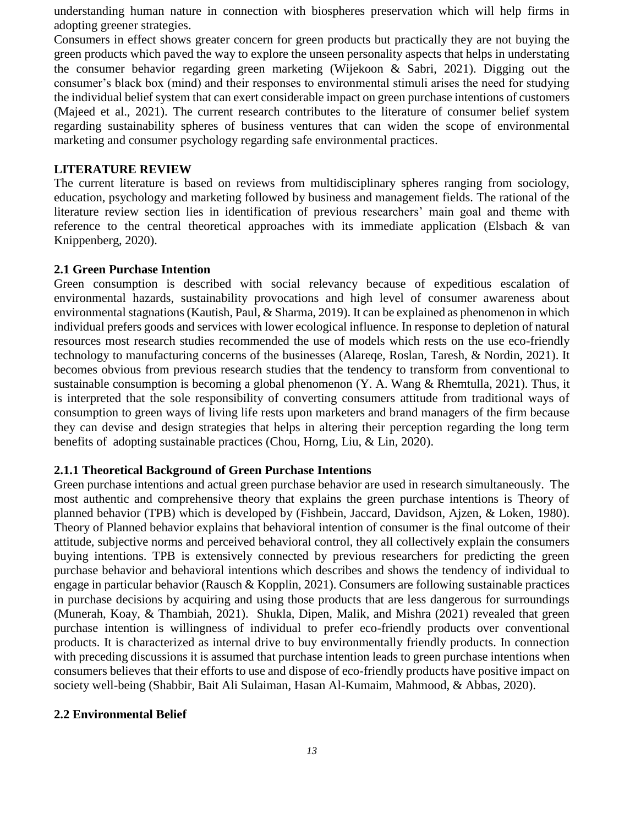understanding human nature in connection with biospheres preservation which will help firms in adopting greener strategies.

Consumers in effect shows greater concern for green products but practically they are not buying the green products which paved the way to explore the unseen personality aspects that helps in understating the consumer behavior regarding green marketing [\(Wijekoon & Sabri, 2021\)](#page-12-1). Digging out the consumer's black box (mind) and their responses to environmental stimuli arises the need for studying the individual belief system that can exert considerable impact on green purchase intentions of customers [\(Majeed et al., 2021\)](#page-11-1). The current research contributes to the literature of consumer belief system regarding sustainability spheres of business ventures that can widen the scope of environmental marketing and consumer psychology regarding safe environmental practices.

#### **LITERATURE REVIEW**

The current literature is based on reviews from multidisciplinary spheres ranging from sociology, education, psychology and marketing followed by business and management fields. The rational of the literature review section lies in identification of previous researchers' main goal and theme with reference to the central theoretical approaches with its immediate application [\(Elsbach & van](#page-10-3)  [Knippenberg, 2020\)](#page-10-3).

#### **2.1 Green Purchase Intention**

Green consumption is described with social relevancy because of expeditious escalation of environmental hazards, sustainability provocations and high level of consumer awareness about environmental stagnations [\(Kautish, Paul, & Sharma, 2019\)](#page-11-4). It can be explained as phenomenon in which individual prefers goods and services with lower ecological influence. In response to depletion of natural resources most research studies recommended the use of models which rests on the use eco-friendly technology to manufacturing concerns of the businesses [\(Alareqe, Roslan, Taresh, & Nordin, 2021\)](#page-10-4). It becomes obvious from previous research studies that the tendency to transform from conventional to sustainable consumption is becoming a global phenomenon [\(Y. A. Wang & Rhemtulla, 2021\)](#page-12-3). Thus, it is interpreted that the sole responsibility of converting consumers attitude from traditional ways of consumption to green ways of living life rests upon marketers and brand managers of the firm because they can devise and design strategies that helps in altering their perception regarding the long term benefits of adopting sustainable practices [\(Chou, Horng, Liu, & Lin, 2020\)](#page-10-5).

## **2.1.1 Theoretical Background of Green Purchase Intentions**

Green purchase intentions and actual green purchase behavior are used in research simultaneously. The most authentic and comprehensive theory that explains the green purchase intentions is Theory of planned behavior (TPB) which is developed by [\(Fishbein, Jaccard, Davidson, Ajzen, & Loken, 1980\)](#page-11-5). Theory of Planned behavior explains that behavioral intention of consumer is the final outcome of their attitude, subjective norms and perceived behavioral control, they all collectively explain the consumers buying intentions. TPB is extensively connected by previous researchers for predicting the green purchase behavior and behavioral intentions which describes and shows the tendency of individual to engage in particular behavior [\(Rausch & Kopplin, 2021\)](#page-12-4). Consumers are following sustainable practices in purchase decisions by acquiring and using those products that are less dangerous for surroundings [\(Munerah, Koay, & Thambiah, 2021\)](#page-12-5). [Shukla, Dipen, Malik, and Mishra \(2021\)](#page-12-6) revealed that green purchase intention is willingness of individual to prefer eco-friendly products over conventional products. It is characterized as internal drive to buy environmentally friendly products. In connection with preceding discussions it is assumed that purchase intention leads to green purchase intentions when consumers believes that their efforts to use and dispose of eco-friendly products have positive impact on society well-being [\(Shabbir, Bait Ali Sulaiman, Hasan Al-Kumaim, Mahmood, & Abbas, 2020\)](#page-12-7).

## **2.2 Environmental Belief**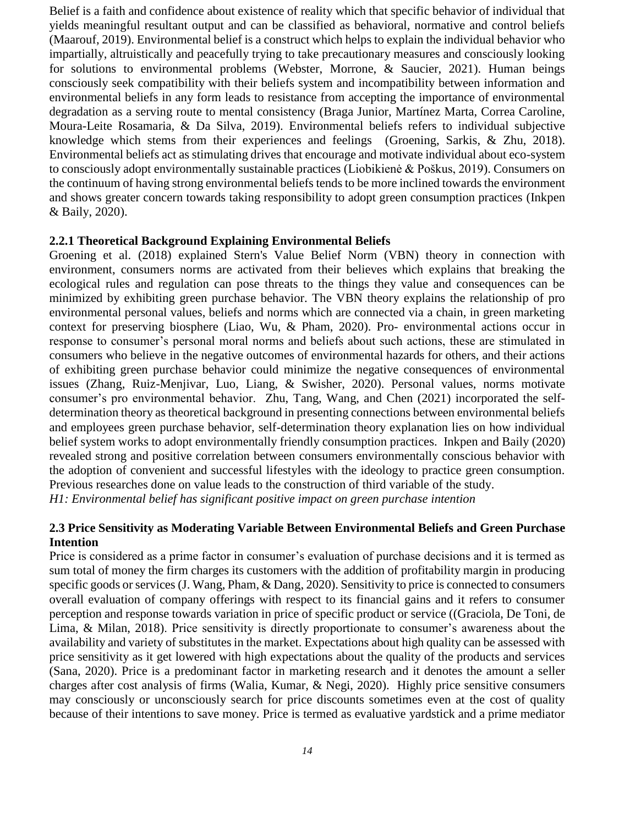Belief is a faith and confidence about existence of reality which that specific behavior of individual that yields meaningful resultant output and can be classified as behavioral, normative and control beliefs [\(Maarouf, 2019\)](#page-11-6). Environmental belief is a construct which helps to explain the individual behavior who impartially, altruistically and peacefully trying to take precautionary measures and consciously looking for solutions to environmental problems [\(Webster, Morrone, & Saucier, 2021\)](#page-12-8). Human beings consciously seek compatibility with their beliefs system and incompatibility between information and environmental beliefs in any form leads to resistance from accepting the importance of environmental degradation as a serving route to mental consistency [\(Braga Junior, Martínez Marta, Correa Caroline,](#page-10-6)  [Moura-Leite Rosamaria, & Da Silva, 2019\)](#page-10-6). Environmental beliefs refers to individual subjective knowledge which stems from their experiences and feelings [\(Groening, Sarkis, & Zhu, 2018\)](#page-11-7). Environmental beliefs act as stimulating drives that encourage and motivate individual about eco-system to consciously adopt environmentally sustainable practices [\(Liobikienė & Poškus, 2019\)](#page-11-8). Consumers on the continuum of having strong environmental beliefs tends to be more inclined towards the environment and shows greater concern towards taking responsibility to adopt green consumption practices [\(Inkpen](#page-11-9)  [& Baily, 2020\)](#page-11-9).

#### **2.2.1 Theoretical Background Explaining Environmental Beliefs**

[Groening et al. \(2018\)](#page-11-7) explained Stern's Value Belief Norm (VBN) theory in connection with environment, consumers norms are activated from their believes which explains that breaking the ecological rules and regulation can pose threats to the things they value and consequences can be minimized by exhibiting green purchase behavior. The VBN theory explains the relationship of pro environmental personal values, beliefs and norms which are connected via a chain, in green marketing context for preserving biosphere [\(Liao, Wu, & Pham, 2020\)](#page-11-10). Pro- environmental actions occur in response to consumer's personal moral norms and beliefs about such actions, these are stimulated in consumers who believe in the negative outcomes of environmental hazards for others, and their actions of exhibiting green purchase behavior could minimize the negative consequences of environmental issues [\(Zhang, Ruiz-Menjivar, Luo, Liang, & Swisher, 2020\)](#page-13-3). Personal values, norms motivate consumer's pro environmental behavior. [Zhu, Tang, Wang, and Chen \(2021\)](#page-13-4) incorporated the selfdetermination theory as theoretical background in presenting connections between environmental beliefs and employees green purchase behavior, self-determination theory explanation lies on how individual belief system works to adopt environmentally friendly consumption practices. [Inkpen and Baily \(2020\)](#page-11-9) revealed strong and positive correlation between consumers environmentally conscious behavior with the adoption of convenient and successful lifestyles with the ideology to practice green consumption. Previous researches done on value leads to the construction of third variable of the study. *H1: Environmental belief has significant positive impact on green purchase intention*

#### **2.3 Price Sensitivity as Moderating Variable Between Environmental Beliefs and Green Purchase Intention**

Price is considered as a prime factor in consumer's evaluation of purchase decisions and it is termed as sum total of money the firm charges its customers with the addition of profitability margin in producing specific goods or services [\(J. Wang, Pham, & Dang, 2020\)](#page-12-9). Sensitivity to price is connected to consumers overall evaluation of company offerings with respect to its financial gains and it refers to consumer perception and response towards variation in price of specific product or service ([\(Graciola, De Toni, de](#page-11-11)  [Lima, & Milan, 2018\)](#page-11-11). Price sensitivity is directly proportionate to consumer's awareness about the availability and variety of substitutes in the market. Expectations about high quality can be assessed with price sensitivity as it get lowered with high expectations about the quality of the products and services [\(Sana, 2020\)](#page-12-10). Price is a predominant factor in marketing research and it denotes the amount a seller charges after cost analysis of firms [\(Walia, Kumar, & Negi, 2020\)](#page-12-11). Highly price sensitive consumers may consciously or unconsciously search for price discounts sometimes even at the cost of quality because of their intentions to save money. Price is termed as evaluative yardstick and a prime mediator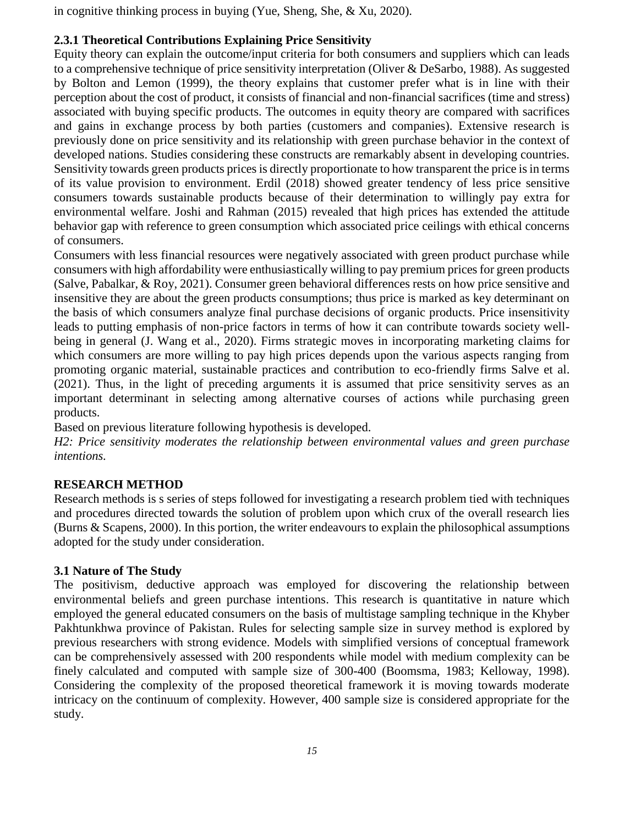in cognitive thinking process in buying [\(Yue, Sheng, She, & Xu, 2020\)](#page-13-5).

# **2.3.1 Theoretical Contributions Explaining Price Sensitivity**

Equity theory can explain the outcome/input criteria for both consumers and suppliers which can leads to a comprehensive technique of price sensitivity interpretation [\(Oliver & DeSarbo, 1988\)](#page-12-12). As suggested by [Bolton and Lemon \(1999\)](#page-10-7), the theory explains that customer prefer what is in line with their perception about the cost of product, it consists of financial and non-financial sacrifices (time and stress) associated with buying specific products. The outcomes in equity theory are compared with sacrifices and gains in exchange process by both parties (customers and companies). Extensive research is previously done on price sensitivity and its relationship with green purchase behavior in the context of developed nations. Studies considering these constructs are remarkably absent in developing countries. Sensitivity towards green products prices is directly proportionate to how transparent the price is in terms of its value provision to environment. [Erdil \(2018\)](#page-11-12) showed greater tendency of less price sensitive consumers towards sustainable products because of their determination to willingly pay extra for environmental welfare. [Joshi and Rahman \(2015\)](#page-11-13) revealed that high prices has extended the attitude behavior gap with reference to green consumption which associated price ceilings with ethical concerns of consumers.

Consumers with less financial resources were negatively associated with green product purchase while consumers with high affordability were enthusiastically willing to pay premium prices for green products [\(Salve, Pabalkar, & Roy, 2021\)](#page-12-13). Consumer green behavioral differences rests on how price sensitive and insensitive they are about the green products consumptions; thus price is marked as key determinant on the basis of which consumers analyze final purchase decisions of organic products. Price insensitivity leads to putting emphasis of non-price factors in terms of how it can contribute towards society wellbeing in general [\(J. Wang et al., 2020\)](#page-12-9). Firms strategic moves in incorporating marketing claims for which consumers are more willing to pay high prices depends upon the various aspects ranging from promoting organic material, sustainable practices and contribution to eco-friendly firms [Salve et al.](#page-12-13)  [\(2021\)](#page-12-13). Thus, in the light of preceding arguments it is assumed that price sensitivity serves as an important determinant in selecting among alternative courses of actions while purchasing green products.

Based on previous literature following hypothesis is developed.

*H2: Price sensitivity moderates the relationship between environmental values and green purchase intentions.*

# **RESEARCH METHOD**

Research methods is s series of steps followed for investigating a research problem tied with techniques and procedures directed towards the solution of problem upon which crux of the overall research lies [\(Burns & Scapens, 2000\)](#page-10-8). In this portion, the writer endeavours to explain the philosophical assumptions adopted for the study under consideration.

## **3.1 Nature of The Study**

The positivism, deductive approach was employed for discovering the relationship between environmental beliefs and green purchase intentions. This research is quantitative in nature which employed the general educated consumers on the basis of multistage sampling technique in the Khyber Pakhtunkhwa province of Pakistan. Rules for selecting sample size in survey method is explored by previous researchers with strong evidence. Models with simplified versions of conceptual framework can be comprehensively assessed with 200 respondents while model with medium complexity can be finely calculated and computed with sample size of 300-400 [\(Boomsma, 1983;](#page-10-9) [Kelloway, 1998\)](#page-11-14). Considering the complexity of the proposed theoretical framework it is moving towards moderate intricacy on the continuum of complexity. However, 400 sample size is considered appropriate for the study.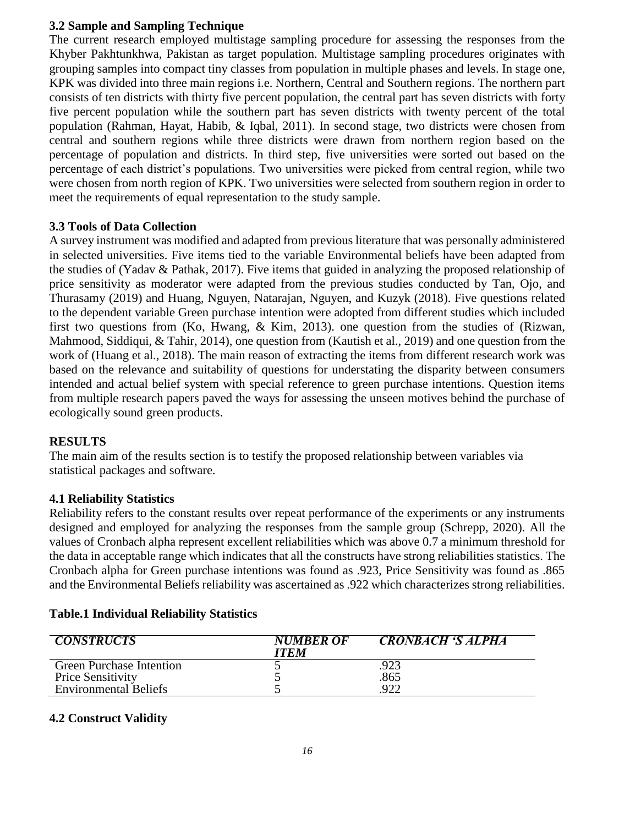## **3.2 Sample and Sampling Technique**

The current research employed multistage sampling procedure for assessing the responses from the Khyber Pakhtunkhwa, Pakistan as target population. Multistage sampling procedures originates with grouping samples into compact tiny classes from population in multiple phases and levels. In stage one, KPK was divided into three main regions i.e. Northern, Central and Southern regions. The northern part consists of ten districts with thirty five percent population, the central part has seven districts with forty five percent population while the southern part has seven districts with twenty percent of the total population [\(Rahman, Hayat, Habib, & Iqbal, 2011\)](#page-12-14). In second stage, two districts were chosen from central and southern regions while three districts were drawn from northern region based on the percentage of population and districts. In third step, five universities were sorted out based on the percentage of each district's populations. Two universities were picked from central region, while two were chosen from north region of KPK. Two universities were selected from southern region in order to meet the requirements of equal representation to the study sample.

## **3.3 Tools of Data Collection**

A survey instrument was modified and adapted from previous literature that was personally administered in selected universities. Five items tied to the variable Environmental beliefs have been adapted from the studies of [\(Yadav & Pathak, 2017\)](#page-13-6). Five items that guided in analyzing the proposed relationship of price sensitivity as moderator were adapted from the previous studies conducted by [Tan, Ojo, and](#page-12-15)  [Thurasamy \(2019\)](#page-12-15) and [Huang, Nguyen, Natarajan, Nguyen, and Kuzyk \(2018\)](#page-11-15). Five questions related to the dependent variable Green purchase intention were adopted from different studies which included first two questions from [\(Ko, Hwang, & Kim, 2013\)](#page-11-16). one question from the studies of [\(Rizwan,](#page-12-16)  [Mahmood, Siddiqui, & Tahir, 2014\)](#page-12-16), one question from [\(Kautish et al., 2019\)](#page-11-4) and one question from the work of [\(Huang et al., 2018\)](#page-11-15). The main reason of extracting the items from different research work was based on the relevance and suitability of questions for understating the disparity between consumers intended and actual belief system with special reference to green purchase intentions. Question items from multiple research papers paved the ways for assessing the unseen motives behind the purchase of ecologically sound green products.

## **RESULTS**

The main aim of the results section is to testify the proposed relationship between variables via statistical packages and software.

## **4.1 Reliability Statistics**

Reliability refers to the constant results over repeat performance of the experiments or any instruments designed and employed for analyzing the responses from the sample group [\(Schrepp, 2020\)](#page-12-17). All the values of Cronbach alpha represent excellent reliabilities which was above 0.7 a minimum threshold for the data in acceptable range which indicates that all the constructs have strong reliabilities statistics. The Cronbach alpha for Green purchase intentions was found as .923, Price Sensitivity was found as .865 and the Environmental Beliefs reliability was ascertained as .922 which characterizes strong reliabilities.

## **Table.1 Individual Reliability Statistics**

| <b>CONSTRUCTS</b>               | <b>NUMBER OF</b><br><b>ITEM</b> | CRONBACH 'S ALPHA |
|---------------------------------|---------------------------------|-------------------|
| <b>Green Purchase Intention</b> |                                 | 923               |
| <b>Price Sensitivity</b>        |                                 | .865              |
| <b>Environmental Beliefs</b>    |                                 | .922              |

## **4.2 Construct Validity**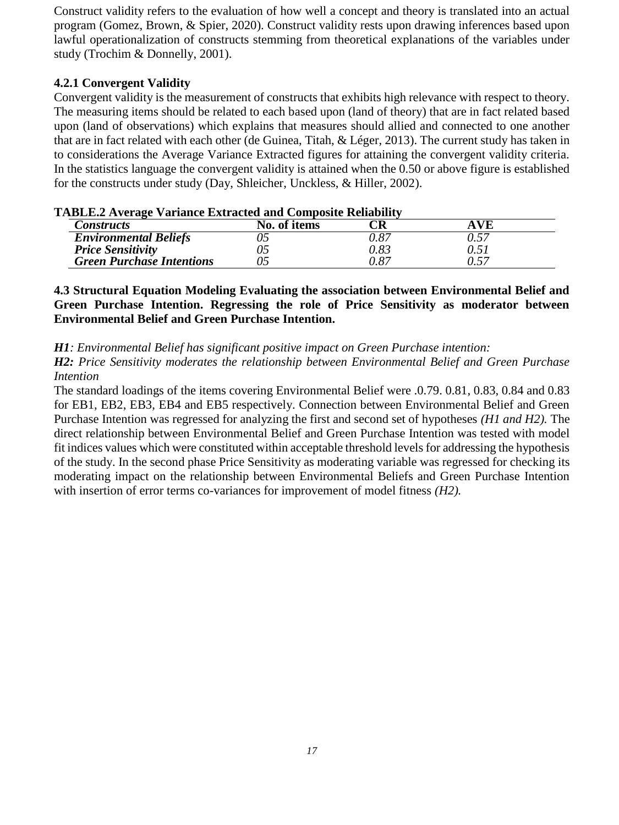Construct validity refers to the evaluation of how well a concept and theory is translated into an actual program [\(Gomez, Brown, & Spier, 2020\)](#page-11-17). Construct validity rests upon drawing inferences based upon lawful operationalization of constructs stemming from theoretical explanations of the variables under study [\(Trochim & Donnelly, 2001\)](#page-12-18).

## **4.2.1 Convergent Validity**

Convergent validity is the measurement of constructs that exhibits high relevance with respect to theory. The measuring items should be related to each based upon (land of theory) that are in fact related based upon (land of observations) which explains that measures should allied and connected to one another that are in fact related with each other [\(de Guinea, Titah, & Léger, 2013\)](#page-10-10). The current study has taken in to considerations the Average Variance Extracted figures for attaining the convergent validity criteria. In the statistics language the convergent validity is attained when the 0.50 or above figure is established for the constructs under study [\(Day, Shleicher, Unckless, & Hiller, 2002\)](#page-10-11).

| <i>Constructs</i>                | No. of items |      |  |
|----------------------------------|--------------|------|--|
| <b>Environmental Beliefs</b>     |              | ).87 |  |
| <b>Price Sensitivity</b>         |              | ).83 |  |
| <b>Green Purchase Intentions</b> |              | 0.87 |  |

## **TABLE.2 Average Variance Extracted and Composite Reliability**

**4.3 Structural Equation Modeling Evaluating the association between Environmental Belief and Green Purchase Intention. Regressing the role of Price Sensitivity as moderator between Environmental Belief and Green Purchase Intention.** 

*H1: Environmental Belief has significant positive impact on Green Purchase intention:*

*H2: Price Sensitivity moderates the relationship between Environmental Belief and Green Purchase Intention*

The standard loadings of the items covering Environmental Belief were .0.79. 0.81, 0.83, 0.84 and 0.83 for EB1, EB2, EB3, EB4 and EB5 respectively. Connection between Environmental Belief and Green Purchase Intention was regressed for analyzing the first and second set of hypotheses *(H1 and H2).* The direct relationship between Environmental Belief and Green Purchase Intention was tested with model fit indices values which were constituted within acceptable threshold levels for addressing the hypothesis of the study. In the second phase Price Sensitivity as moderating variable was regressed for checking its moderating impact on the relationship between Environmental Beliefs and Green Purchase Intention with insertion of error terms co-variances for improvement of model fitness *(H2).*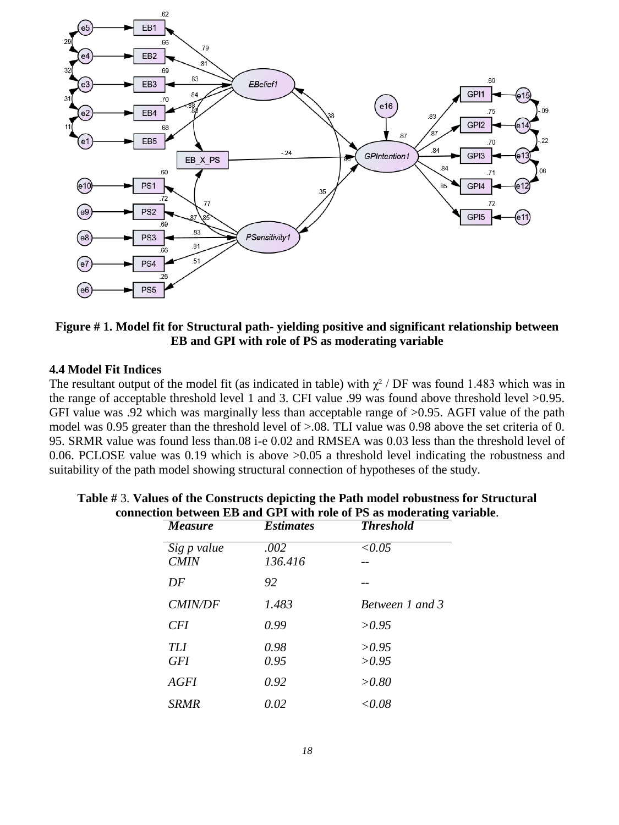

## **Figure # 1. Model fit for Structural path- yielding positive and significant relationship between EB and GPI with role of PS as moderating variable**

#### **4.4 Model Fit Indices**

The resultant output of the model fit (as indicated in table) with  $\chi^2$  / DF was found 1.483 which was in the range of acceptable threshold level 1 and 3. CFI value .99 was found above threshold level >0.95. GFI value was .92 which was marginally less than acceptable range of  $>0.95$ . AGFI value of the path model was 0.95 greater than the threshold level of >.08. TLI value was 0.98 above the set criteria of 0. 95. SRMR value was found less than.08 i-e 0.02 and RMSEA was 0.03 less than the threshold level of 0.06. PCLOSE value was 0.19 which is above >0.05 a threshold level indicating the robustness and suitability of the path model showing structural connection of hypotheses of the study.

| <b>Measure</b>             | <b>Estimates</b> | <b>Threshold</b>       |  |
|----------------------------|------------------|------------------------|--|
| Sig p value<br><b>CMIN</b> | .002<br>136.416  | $\le 0.05$             |  |
| DF                         | 92               |                        |  |
| <b>CMIN/DF</b>             | 1.483            | <b>Between 1 and 3</b> |  |
| <b>CFI</b>                 | 0.99             | >0.95                  |  |
| <b>TLI</b><br><b>GFI</b>   | 0.98<br>0.95     | >0.95<br>>0.95         |  |
| <b>AGFI</b>                | 0.92             | >0.80                  |  |
| <b>SRMR</b>                | 0.02             | < 0.08                 |  |

| Table #3. Values of the Constructs depicting the Path model robustness for Structural |  |
|---------------------------------------------------------------------------------------|--|
| connection between EB and GPI with role of PS as moderating variable.                 |  |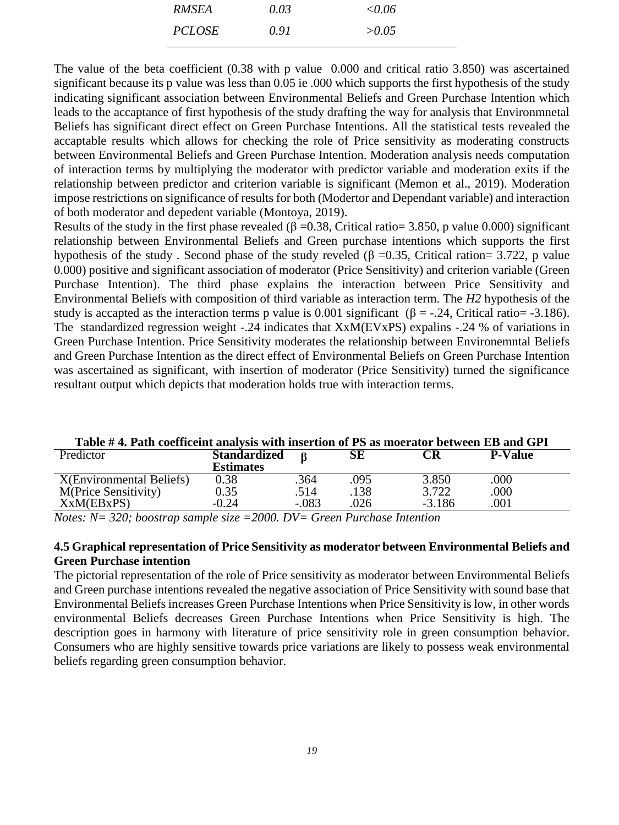| <b>RMSEA</b>  | 0.03 | $\le 0.06$ |
|---------------|------|------------|
| <i>PCLOSE</i> | 0.91 | > 0.05     |

The value of the beta coefficient (0.38 with p value 0.000 and critical ratio 3.850) was ascertained significant because its p value was less than 0.05 ie .000 which supports the first hypothesis of the study indicating significant association between Environmental Beliefs and Green Purchase Intention which leads to the accaptance of first hypothesis of the study drafting the way for analysis that Environmnetal Beliefs has significant direct effect on Green Purchase Intentions. All the statistical tests revealed the accaptable results which allows for checking the role of Price sensitivity as moderating constructs between Environmental Beliefs and Green Purchase Intention. Moderation analysis needs computation of interaction terms by multiplying the moderator with predictor variable and moderation exits if the relationship between predictor and criterion variable is significant [\(Memon et al., 2019\)](#page-11-18). Moderation impose restrictions on significance of results for both (Modertor and Dependant variable) and interaction of both moderator and depedent variable [\(Montoya, 2019\)](#page-11-19).

Results of the study in the first phase revealed ( $\beta = 0.38$ , Critical ratio= 3.850, p value 0.000) significant relationship between Environmental Beliefs and Green purchase intentions which supports the first hypothesis of the study. Second phase of the study reveled ( $\beta = 0.35$ , Critical ration= 3.722, p value 0.000) positive and significant association of moderator (Price Sensitivity) and criterion variable (Green Purchase Intention). The third phase explains the interaction between Price Sensitivity and Environmental Beliefs with composition of third variable as interaction term. The *H2* hypothesis of the study is accapted as the interaction terms p value is 0.001 significant ( $\beta$  = -.24, Critical ratio= -3.186). The standardized regression weight -.24 indicates that XxM(EVxPS) expalins -.24 % of variations in Green Purchase Intention. Price Sensitivity moderates the relationship between Environemntal Beliefs and Green Purchase Intention as the direct effect of Environmental Beliefs on Green Purchase Intention was ascertained as significant, with insertion of moderator (Price Sensitivity) turned the significance resultant output which depicts that moderation holds true with interaction terms.

| Table #4. Path coefficeint analysis with insertion of PS as moerator between EB and GPI |                     |         |      |          |                |
|-----------------------------------------------------------------------------------------|---------------------|---------|------|----------|----------------|
| Predictor                                                                               | <b>Standardized</b> |         | SE   | CR       | <b>P-Value</b> |
|                                                                                         | <b>Estimates</b>    |         |      |          |                |
| <b>X</b> (Environmental Beliefs)                                                        | 0.38                | .364    | .095 | 3.850    | .000           |
| <b>M(Price Sensitivity)</b>                                                             | 0.35                | .514    | .138 | 3.722    | .000           |
| XxM(EBxPS)                                                                              | $-0.24$             | $-.083$ | .026 | $-3.186$ | .001           |
|                                                                                         |                     |         |      |          |                |

**Table # 4. Path coefficeint analysis with insertion of PS as moerator between EB and GPI**

*Notes: N= 320; boostrap sample size =2000. DV= Green Purchase Intention* 

## **4.5 Graphical representation of Price Sensitivity as moderator between Environmental Beliefs and Green Purchase intention**

The pictorial representation of the role of Price sensitivity as moderator between Environmental Beliefs and Green purchase intentions revealed the negative association of Price Sensitivity with sound base that Environmental Beliefs increases Green Purchase Intentions when Price Sensitivity is low, in other words environmental Beliefs decreases Green Purchase Intentions when Price Sensitivity is high. The description goes in harmony with literature of price sensitivity role in green consumption behavior. Consumers who are highly sensitive towards price variations are likely to possess weak environmental beliefs regarding green consumption behavior.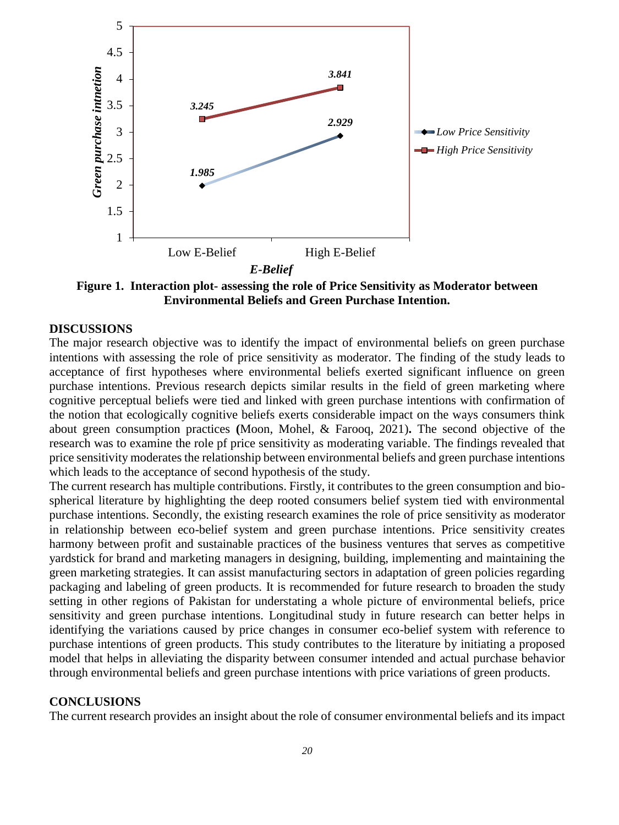

**Figure 1. Interaction plot- assessing the role of Price Sensitivity as Moderator between Environmental Beliefs and Green Purchase Intention.**

#### **DISCUSSIONS**

The major research objective was to identify the impact of environmental beliefs on green purchase intentions with assessing the role of price sensitivity as moderator. The finding of the study leads to acceptance of first hypotheses where environmental beliefs exerted significant influence on green purchase intentions. Previous research depicts similar results in the field of green marketing where cognitive perceptual beliefs were tied and linked with green purchase intentions with confirmation of the notion that ecologically cognitive beliefs exerts considerable impact on the ways consumers think about green consumption practices **(**[Moon, Mohel, & Farooq, 2021\)](#page-12-19)**.** The second objective of the research was to examine the role pf price sensitivity as moderating variable. The findings revealed that price sensitivity moderates the relationship between environmental beliefs and green purchase intentions which leads to the acceptance of second hypothesis of the study.

The current research has multiple contributions. Firstly, it contributes to the green consumption and biospherical literature by highlighting the deep rooted consumers belief system tied with environmental purchase intentions. Secondly, the existing research examines the role of price sensitivity as moderator in relationship between eco-belief system and green purchase intentions. Price sensitivity creates harmony between profit and sustainable practices of the business ventures that serves as competitive yardstick for brand and marketing managers in designing, building, implementing and maintaining the green marketing strategies. It can assist manufacturing sectors in adaptation of green policies regarding packaging and labeling of green products. It is recommended for future research to broaden the study setting in other regions of Pakistan for understating a whole picture of environmental beliefs, price sensitivity and green purchase intentions. Longitudinal study in future research can better helps in identifying the variations caused by price changes in consumer eco-belief system with reference to purchase intentions of green products. This study contributes to the literature by initiating a proposed model that helps in alleviating the disparity between consumer intended and actual purchase behavior through environmental beliefs and green purchase intentions with price variations of green products.

#### **CONCLUSIONS**

The current research provides an insight about the role of consumer environmental beliefs and its impact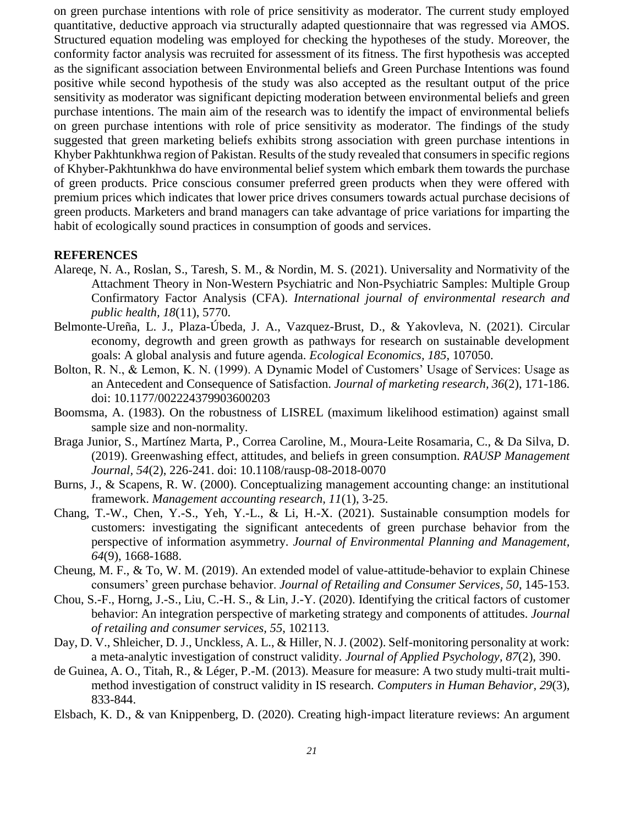on green purchase intentions with role of price sensitivity as moderator. The current study employed quantitative, deductive approach via structurally adapted questionnaire that was regressed via AMOS. Structured equation modeling was employed for checking the hypotheses of the study. Moreover, the conformity factor analysis was recruited for assessment of its fitness. The first hypothesis was accepted as the significant association between Environmental beliefs and Green Purchase Intentions was found positive while second hypothesis of the study was also accepted as the resultant output of the price sensitivity as moderator was significant depicting moderation between environmental beliefs and green purchase intentions. The main aim of the research was to identify the impact of environmental beliefs on green purchase intentions with role of price sensitivity as moderator. The findings of the study suggested that green marketing beliefs exhibits strong association with green purchase intentions in Khyber Pakhtunkhwa region of Pakistan. Results of the study revealed that consumers in specific regions of Khyber-Pakhtunkhwa do have environmental belief system which embark them towards the purchase of green products. Price conscious consumer preferred green products when they were offered with premium prices which indicates that lower price drives consumers towards actual purchase decisions of green products. Marketers and brand managers can take advantage of price variations for imparting the habit of ecologically sound practices in consumption of goods and services.

### **REFERENCES**

- <span id="page-10-4"></span>Alareqe, N. A., Roslan, S., Taresh, S. M., & Nordin, M. S. (2021). Universality and Normativity of the Attachment Theory in Non-Western Psychiatric and Non-Psychiatric Samples: Multiple Group Confirmatory Factor Analysis (CFA). *International journal of environmental research and public health, 18*(11), 5770.
- <span id="page-10-0"></span>Belmonte-Ureña, L. J., Plaza-Úbeda, J. A., Vazquez-Brust, D., & Yakovleva, N. (2021). Circular economy, degrowth and green growth as pathways for research on sustainable development goals: A global analysis and future agenda. *Ecological Economics, 185*, 107050.
- <span id="page-10-7"></span>Bolton, R. N., & Lemon, K. N. (1999). A Dynamic Model of Customers' Usage of Services: Usage as an Antecedent and Consequence of Satisfaction. *Journal of marketing research, 36*(2), 171-186. doi: 10.1177/002224379903600203
- <span id="page-10-9"></span>Boomsma, A. (1983). On the robustness of LISREL (maximum likelihood estimation) against small sample size and non-normality.
- <span id="page-10-6"></span>Braga Junior, S., Martínez Marta, P., Correa Caroline, M., Moura-Leite Rosamaria, C., & Da Silva, D. (2019). Greenwashing effect, attitudes, and beliefs in green consumption. *RAUSP Management Journal, 54*(2), 226-241. doi: 10.1108/rausp-08-2018-0070
- <span id="page-10-8"></span>Burns, J., & Scapens, R. W. (2000). Conceptualizing management accounting change: an institutional framework. *Management accounting research, 11*(1), 3-25.
- <span id="page-10-1"></span>Chang, T.-W., Chen, Y.-S., Yeh, Y.-L., & Li, H.-X. (2021). Sustainable consumption models for customers: investigating the significant antecedents of green purchase behavior from the perspective of information asymmetry. *Journal of Environmental Planning and Management, 64*(9), 1668-1688.
- <span id="page-10-2"></span>Cheung, M. F., & To, W. M. (2019). An extended model of value-attitude-behavior to explain Chinese consumers' green purchase behavior. *Journal of Retailing and Consumer Services, 50*, 145-153.
- <span id="page-10-5"></span>Chou, S.-F., Horng, J.-S., Liu, C.-H. S., & Lin, J.-Y. (2020). Identifying the critical factors of customer behavior: An integration perspective of marketing strategy and components of attitudes. *Journal of retailing and consumer services, 55*, 102113.
- <span id="page-10-11"></span>Day, D. V., Shleicher, D. J., Unckless, A. L., & Hiller, N. J. (2002). Self-monitoring personality at work: a meta-analytic investigation of construct validity. *Journal of Applied Psychology, 87*(2), 390.
- <span id="page-10-10"></span>de Guinea, A. O., Titah, R., & Léger, P.-M. (2013). Measure for measure: A two study multi-trait multimethod investigation of construct validity in IS research. *Computers in Human Behavior, 29*(3), 833-844.
- <span id="page-10-3"></span>Elsbach, K. D., & van Knippenberg, D. (2020). Creating high‐impact literature reviews: An argument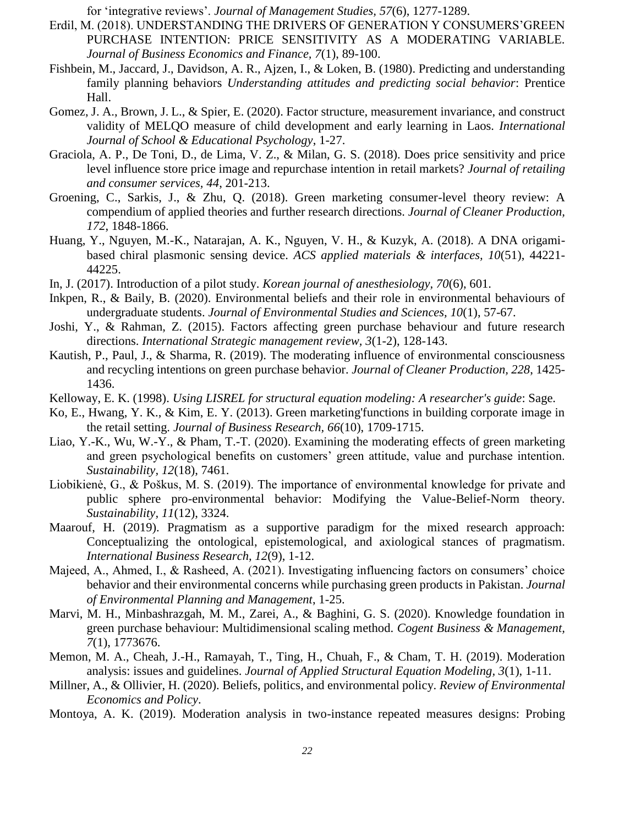for 'integrative reviews'. *Journal of Management Studies, 57*(6), 1277-1289.

- <span id="page-11-12"></span>Erdil, M. (2018). UNDERSTANDING THE DRIVERS OF GENERATION Y CONSUMERS'GREEN PURCHASE INTENTION: PRICE SENSITIVITY AS A MODERATING VARIABLE. *Journal of Business Economics and Finance, 7*(1), 89-100.
- <span id="page-11-5"></span>Fishbein, M., Jaccard, J., Davidson, A. R., Ajzen, I., & Loken, B. (1980). Predicting and understanding family planning behaviors *Understanding attitudes and predicting social behavior*: Prentice Hall.
- <span id="page-11-17"></span>Gomez, J. A., Brown, J. L., & Spier, E. (2020). Factor structure, measurement invariance, and construct validity of MELQO measure of child development and early learning in Laos. *International Journal of School & Educational Psychology*, 1-27.
- <span id="page-11-11"></span>Graciola, A. P., De Toni, D., de Lima, V. Z., & Milan, G. S. (2018). Does price sensitivity and price level influence store price image and repurchase intention in retail markets? *Journal of retailing and consumer services, 44*, 201-213.
- <span id="page-11-7"></span>Groening, C., Sarkis, J., & Zhu, Q. (2018). Green marketing consumer-level theory review: A compendium of applied theories and further research directions. *Journal of Cleaner Production, 172*, 1848-1866.
- <span id="page-11-15"></span>Huang, Y., Nguyen, M.-K., Natarajan, A. K., Nguyen, V. H., & Kuzyk, A. (2018). A DNA origamibased chiral plasmonic sensing device. *ACS applied materials & interfaces, 10*(51), 44221- 44225.
- <span id="page-11-0"></span>In, J. (2017). Introduction of a pilot study. *Korean journal of anesthesiology, 70*(6), 601.
- <span id="page-11-9"></span>Inkpen, R., & Baily, B. (2020). Environmental beliefs and their role in environmental behaviours of undergraduate students. *Journal of Environmental Studies and Sciences, 10*(1), 57-67.
- <span id="page-11-13"></span>Joshi, Y., & Rahman, Z. (2015). Factors affecting green purchase behaviour and future research directions. *International Strategic management review, 3*(1-2), 128-143.
- <span id="page-11-4"></span>Kautish, P., Paul, J., & Sharma, R. (2019). The moderating influence of environmental consciousness and recycling intentions on green purchase behavior. *Journal of Cleaner Production, 228*, 1425- 1436.
- <span id="page-11-14"></span>Kelloway, E. K. (1998). *Using LISREL for structural equation modeling: A researcher's guide*: Sage.
- <span id="page-11-16"></span>Ko, E., Hwang, Y. K., & Kim, E. Y. (2013). Green marketing'functions in building corporate image in the retail setting. *Journal of Business Research, 66*(10), 1709-1715.
- <span id="page-11-10"></span>Liao, Y.-K., Wu, W.-Y., & Pham, T.-T. (2020). Examining the moderating effects of green marketing and green psychological benefits on customers' green attitude, value and purchase intention. *Sustainability, 12*(18), 7461.
- <span id="page-11-8"></span>Liobikienė, G., & Poškus, M. S. (2019). The importance of environmental knowledge for private and public sphere pro-environmental behavior: Modifying the Value-Belief-Norm theory. *Sustainability, 11*(12), 3324.
- <span id="page-11-6"></span>Maarouf, H. (2019). Pragmatism as a supportive paradigm for the mixed research approach: Conceptualizing the ontological, epistemological, and axiological stances of pragmatism. *International Business Research, 12*(9), 1-12.
- <span id="page-11-1"></span>Majeed, A., Ahmed, I., & Rasheed, A. (2021). Investigating influencing factors on consumers' choice behavior and their environmental concerns while purchasing green products in Pakistan. *Journal of Environmental Planning and Management*, 1-25.
- <span id="page-11-3"></span>Marvi, M. H., Minbashrazgah, M. M., Zarei, A., & Baghini, G. S. (2020). Knowledge foundation in green purchase behaviour: Multidimensional scaling method. *Cogent Business & Management, 7*(1), 1773676.
- <span id="page-11-18"></span>Memon, M. A., Cheah, J.-H., Ramayah, T., Ting, H., Chuah, F., & Cham, T. H. (2019). Moderation analysis: issues and guidelines. *Journal of Applied Structural Equation Modeling, 3*(1), 1-11.
- <span id="page-11-2"></span>Millner, A., & Ollivier, H. (2020). Beliefs, politics, and environmental policy. *Review of Environmental Economics and Policy*.
- <span id="page-11-19"></span>Montoya, A. K. (2019). Moderation analysis in two-instance repeated measures designs: Probing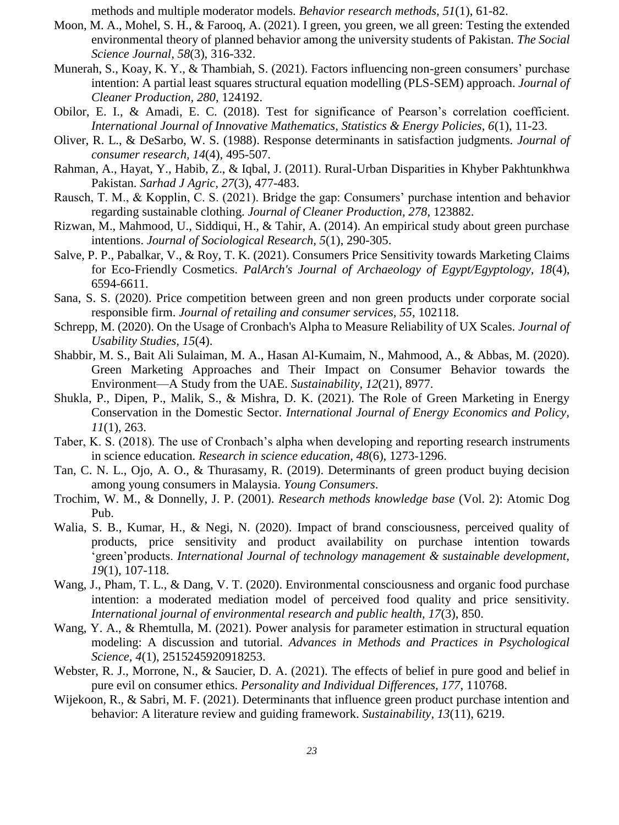methods and multiple moderator models. *Behavior research methods, 51*(1), 61-82.

- <span id="page-12-19"></span>Moon, M. A., Mohel, S. H., & Farooq, A. (2021). I green, you green, we all green: Testing the extended environmental theory of planned behavior among the university students of Pakistan. *The Social Science Journal, 58*(3), 316-332.
- <span id="page-12-5"></span>Munerah, S., Koay, K. Y., & Thambiah, S. (2021). Factors influencing non-green consumers' purchase intention: A partial least squares structural equation modelling (PLS-SEM) approach. *Journal of Cleaner Production, 280*, 124192.
- <span id="page-12-2"></span>Obilor, E. I., & Amadi, E. C. (2018). Test for significance of Pearson's correlation coefficient. *International Journal of Innovative Mathematics, Statistics & Energy Policies, 6*(1), 11-23.
- <span id="page-12-12"></span>Oliver, R. L., & DeSarbo, W. S. (1988). Response determinants in satisfaction judgments. *Journal of consumer research, 14*(4), 495-507.
- <span id="page-12-14"></span>Rahman, A., Hayat, Y., Habib, Z., & Iqbal, J. (2011). Rural-Urban Disparities in Khyber Pakhtunkhwa Pakistan. *Sarhad J Agric, 27*(3), 477-483.
- <span id="page-12-4"></span>Rausch, T. M., & Kopplin, C. S. (2021). Bridge the gap: Consumers' purchase intention and behavior regarding sustainable clothing. *Journal of Cleaner Production, 278*, 123882.
- <span id="page-12-16"></span>Rizwan, M., Mahmood, U., Siddiqui, H., & Tahir, A. (2014). An empirical study about green purchase intentions. *Journal of Sociological Research, 5*(1), 290-305.
- <span id="page-12-13"></span>Salve, P. P., Pabalkar, V., & Roy, T. K. (2021). Consumers Price Sensitivity towards Marketing Claims for Eco-Friendly Cosmetics. *PalArch's Journal of Archaeology of Egypt/Egyptology, 18*(4), 6594-6611.
- <span id="page-12-10"></span>Sana, S. S. (2020). Price competition between green and non green products under corporate social responsible firm. *Journal of retailing and consumer services, 55*, 102118.
- <span id="page-12-17"></span>Schrepp, M. (2020). On the Usage of Cronbach's Alpha to Measure Reliability of UX Scales. *Journal of Usability Studies, 15*(4).
- <span id="page-12-7"></span>Shabbir, M. S., Bait Ali Sulaiman, M. A., Hasan Al-Kumaim, N., Mahmood, A., & Abbas, M. (2020). Green Marketing Approaches and Their Impact on Consumer Behavior towards the Environment—A Study from the UAE. *Sustainability, 12*(21), 8977.
- <span id="page-12-6"></span>Shukla, P., Dipen, P., Malik, S., & Mishra, D. K. (2021). The Role of Green Marketing in Energy Conservation in the Domestic Sector. *International Journal of Energy Economics and Policy, 11*(1), 263.
- <span id="page-12-0"></span>Taber, K. S. (2018). The use of Cronbach's alpha when developing and reporting research instruments in science education. *Research in science education, 48*(6), 1273-1296.
- <span id="page-12-15"></span>Tan, C. N. L., Ojo, A. O., & Thurasamy, R. (2019). Determinants of green product buying decision among young consumers in Malaysia. *Young Consumers*.
- <span id="page-12-18"></span>Trochim, W. M., & Donnelly, J. P. (2001). *Research methods knowledge base* (Vol. 2): Atomic Dog Pub.
- <span id="page-12-11"></span>Walia, S. B., Kumar, H., & Negi, N. (2020). Impact of brand consciousness, perceived quality of products, price sensitivity and product availability on purchase intention towards 'green'products. *International Journal of technology management & sustainable development, 19*(1), 107-118.
- <span id="page-12-9"></span>Wang, J., Pham, T. L., & Dang, V. T. (2020). Environmental consciousness and organic food purchase intention: a moderated mediation model of perceived food quality and price sensitivity. *International journal of environmental research and public health, 17*(3), 850.
- <span id="page-12-3"></span>Wang, Y. A., & Rhemtulla, M. (2021). Power analysis for parameter estimation in structural equation modeling: A discussion and tutorial. *Advances in Methods and Practices in Psychological Science, 4*(1), 2515245920918253.
- <span id="page-12-8"></span>Webster, R. J., Morrone, N., & Saucier, D. A. (2021). The effects of belief in pure good and belief in pure evil on consumer ethics. *Personality and Individual Differences, 177*, 110768.
- <span id="page-12-1"></span>Wijekoon, R., & Sabri, M. F. (2021). Determinants that influence green product purchase intention and behavior: A literature review and guiding framework. *Sustainability, 13*(11), 6219.